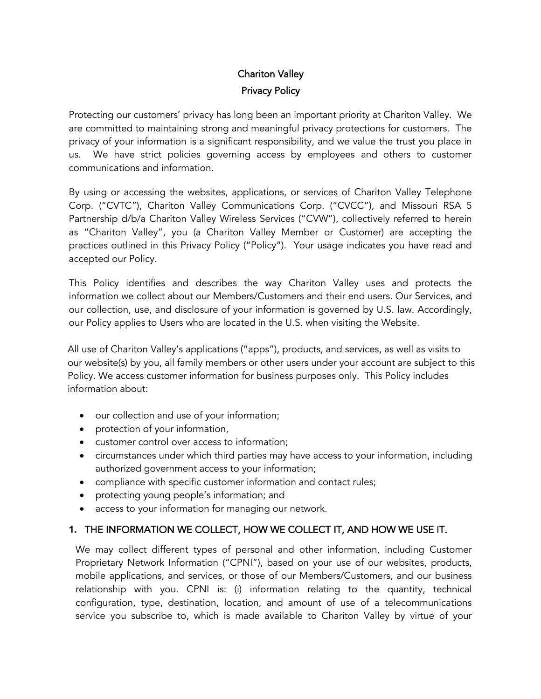# Chariton Valley Privacy Policy

Protecting our customers' privacy has long been an important priority at Chariton Valley. We are committed to maintaining strong and meaningful privacy protections for customers. The privacy of your information is a significant responsibility, and we value the trust you place in us. We have strict policies governing access by employees and others to customer communications and information.

By using or accessing the websites, applications, or services of Chariton Valley Telephone Corp. ("CVTC"), Chariton Valley Communications Corp. ("CVCC"), and Missouri RSA 5 Partnership d/b/a Chariton Valley Wireless Services ("CVW"), collectively referred to herein as "Chariton Valley", you (a Chariton Valley Member or Customer) are accepting the practices outlined in this Privacy Policy ("Policy"). Your usage indicates you have read and accepted our Policy.

This Policy identifies and describes the way Chariton Valley uses and protects the information we collect about our Members/Customers and their end users. Our Services, and our collection, use, and disclosure of your information is governed by U.S. law. Accordingly, our Policy applies to Users who are located in the U.S. when visiting the Website.

All use of Chariton Valley's applications ("apps"), products, and services, as well as visits to our website(s) by you, all family members or other users under your account are subject to this Policy. We access customer information for business purposes only. This Policy includes information about:

- our collection and use of your information;
- protection of your information,
- customer control over access to information;
- circumstances under which third parties may have access to your information, including authorized government access to your information;
- compliance with specific customer information and contact rules;
- protecting young people's information; and
- access to your information for managing our network.

## **1.** THE INFORMATION WE COLLECT, HOW WE COLLECT IT, AND HOW WE USE IT.

We may collect different types of personal and other information, including Customer Proprietary Network Information ("CPNI"), based on your use of our websites, products, mobile applications, and services, or those of our Members/Customers, and our business relationship with you. CPNI is: (i) information relating to the quantity, technical configuration, type, destination, location, and amount of use of a telecommunications service you subscribe to, which is made available to Chariton Valley by virtue of your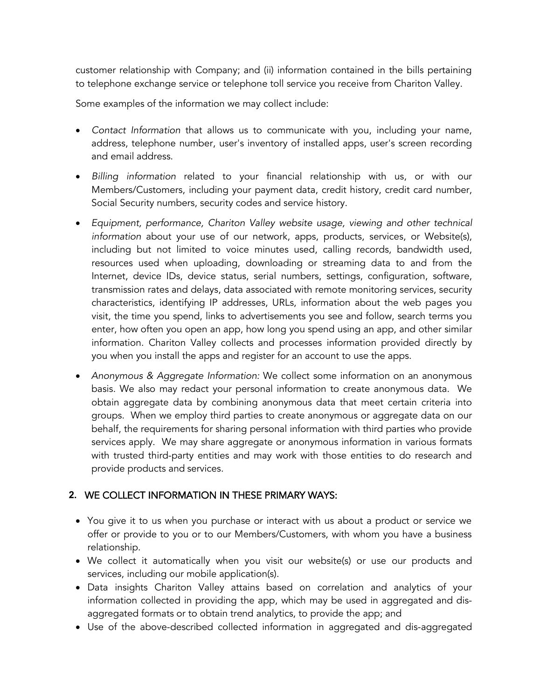customer relationship with Company; and (ii) information contained in the bills pertaining to telephone exchange service or telephone toll service you receive from Chariton Valley.

Some examples of the information we may collect include:

- *Contact Information* that allows us to communicate with you, including your name, address, telephone number, user's inventory of installed apps, user's screen recording and email address.
- *Billing information* related to your financial relationship with us, or with our Members/Customers, including your payment data, credit history, credit card number, Social Security numbers, security codes and service history.
- *Equipment, performance, Chariton Valley website usage, viewing and other technical information* about your use of our network, apps, products, services, or Website(s), including but not limited to voice minutes used, calling records, bandwidth used, resources used when uploading, downloading or streaming data to and from the Internet, device IDs, device status, serial numbers, settings, configuration, software, transmission rates and delays, data associated with remote monitoring services, security characteristics, identifying IP addresses, URLs, information about the web pages you visit, the time you spend, links to advertisements you see and follow, search terms you enter, how often you open an app, how long you spend using an app, and other similar information. Chariton Valley collects and processes information provided directly by you when you install the apps and register for an account to use the apps.
- *Anonymous & Aggregate Information:* We collect some information on an anonymous basis. We also may redact your personal information to create anonymous data. We obtain aggregate data by combining anonymous data that meet certain criteria into groups. When we employ third parties to create anonymous or aggregate data on our behalf, the requirements for sharing personal information with third parties who provide services apply. We may share aggregate or anonymous information in various formats with trusted third-party entities and may work with those entities to do research and provide products and services.

#### **2.** WE COLLECT INFORMATION IN THESE PRIMARY WAYS:

- You give it to us when you purchase or interact with us about a product or service we offer or provide to you or to our Members/Customers, with whom you have a business relationship.
- We collect it automatically when you visit our website(s) or use our products and services, including our mobile application(s).
- Data insights Chariton Valley attains based on correlation and analytics of your information collected in providing the app, which may be used in aggregated and disaggregated formats or to obtain trend analytics, to provide the app; and
- Use of the above-described collected information in aggregated and dis-aggregated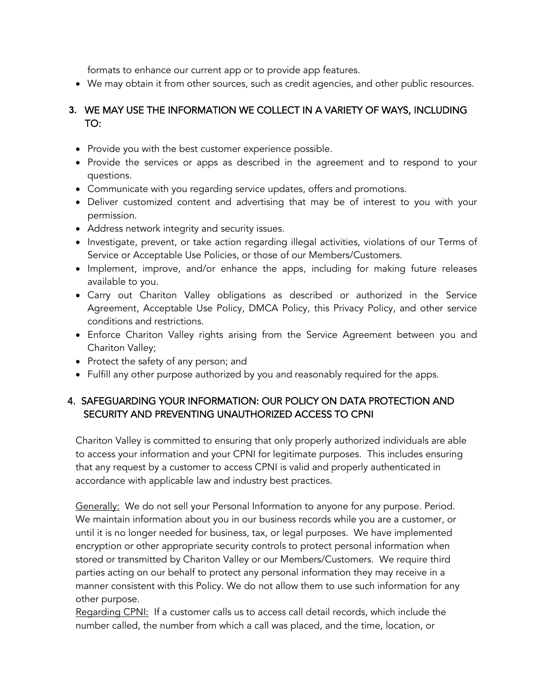formats to enhance our current app or to provide app features.

• We may obtain it from other sources, such as credit agencies, and other public resources.

# **3.** WE MAY USE THE INFORMATION WE COLLECT IN A VARIETY OF WAYS, INCLUDING TO:

- Provide you with the best customer experience possible.
- Provide the services or apps as described in the agreement and to respond to your questions.
- Communicate with you regarding service updates, offers and promotions.
- Deliver customized content and advertising that may be of interest to you with your permission.
- Address network integrity and security issues.
- Investigate, prevent, or take action regarding illegal activities, violations of our Terms of Service or Acceptable Use Policies, or those of our Members/Customers.
- Implement, improve, and/or enhance the apps, including for making future releases available to you.
- Carry out Chariton Valley obligations as described or authorized in the Service Agreement, Acceptable Use Policy, DMCA Policy, this Privacy Policy, and other service conditions and restrictions.
- Enforce Chariton Valley rights arising from the Service Agreement between you and Chariton Valley;
- Protect the safety of any person; and
- Fulfill any other purpose authorized by you and reasonably required for the apps.

## 4. SAFEGUARDING YOUR INFORMATION: OUR POLICY ON DATA PROTECTION AND SECURITY AND PREVENTING UNAUTHORIZED ACCESS TO CPNI

Chariton Valley is committed to ensuring that only properly authorized individuals are able to access your information and your CPNI for legitimate purposes. This includes ensuring that any request by a customer to access CPNI is valid and properly authenticated in accordance with applicable law and industry best practices.

Generally: We do not sell your Personal Information to anyone for any purpose. Period. We maintain information about you in our business records while you are a customer, or until it is no longer needed for business, tax, or legal purposes. We have implemented encryption or other appropriate security controls to protect personal information when stored or transmitted by Chariton Valley or our Members/Customers. We require third parties acting on our behalf to protect any personal information they may receive in a manner consistent with this Policy. We do not allow them to use such information for any other purpose.

Regarding CPNI: If a customer calls us to access call detail records, which include the number called, the number from which a call was placed, and the time, location, or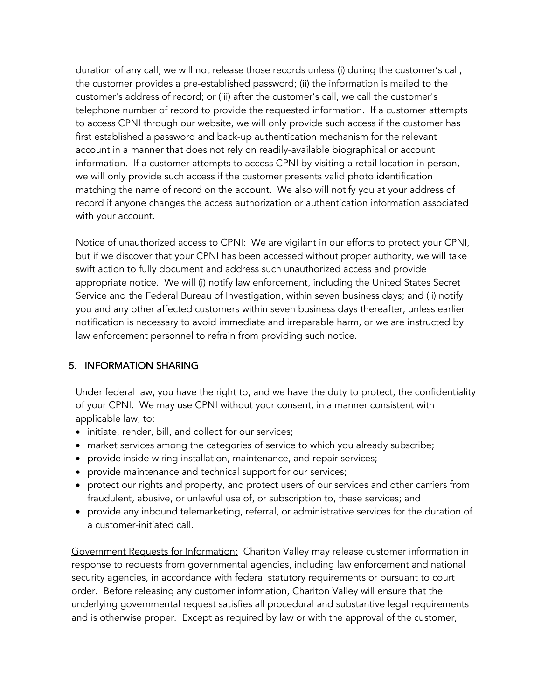duration of any call, we will not release those records unless (i) during the customer's call, the customer provides a pre-established password; (ii) the information is mailed to the customer's address of record; or (iii) after the customer's call, we call the customer's telephone number of record to provide the requested information. If a customer attempts to access CPNI through our website, we will only provide such access if the customer has first established a password and back-up authentication mechanism for the relevant account in a manner that does not rely on readily-available biographical or account information. If a customer attempts to access CPNI by visiting a retail location in person, we will only provide such access if the customer presents valid photo identification matching the name of record on the account. We also will notify you at your address of record if anyone changes the access authorization or authentication information associated with your account.

Notice of unauthorized access to CPNI: We are vigilant in our efforts to protect your CPNI, but if we discover that your CPNI has been accessed without proper authority, we will take swift action to fully document and address such unauthorized access and provide appropriate notice. We will (i) notify law enforcement, including the United States Secret Service and the Federal Bureau of Investigation, within seven business days; and (ii) notify you and any other affected customers within seven business days thereafter, unless earlier notification is necessary to avoid immediate and irreparable harm, or we are instructed by law enforcement personnel to refrain from providing such notice.

# 5. INFORMATION SHARING

Under federal law, you have the right to, and we have the duty to protect, the confidentiality of your CPNI. We may use CPNI without your consent, in a manner consistent with applicable law, to:

- initiate, render, bill, and collect for our services;
- market services among the categories of service to which you already subscribe;
- provide inside wiring installation, maintenance, and repair services;
- provide maintenance and technical support for our services;
- protect our rights and property, and protect users of our services and other carriers from fraudulent, abusive, or unlawful use of, or subscription to, these services; and
- provide any inbound telemarketing, referral, or administrative services for the duration of a customer-initiated call.

Government Requests for Information: Chariton Valley may release customer information in response to requests from governmental agencies, including law enforcement and national security agencies, in accordance with federal statutory requirements or pursuant to court order. Before releasing any customer information, Chariton Valley will ensure that the underlying governmental request satisfies all procedural and substantive legal requirements and is otherwise proper. Except as required by law or with the approval of the customer,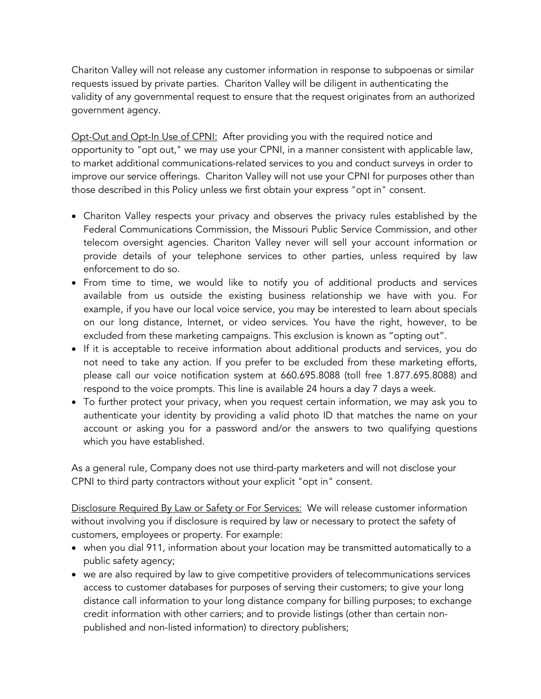Chariton Valley will not release any customer information in response to subpoenas or similar requests issued by private parties. Chariton Valley will be diligent in authenticating the validity of any governmental request to ensure that the request originates from an authorized government agency.

Opt-Out and Opt-In Use of CPNI: After providing you with the required notice and opportunity to "opt out," we may use your CPNI, in a manner consistent with applicable law, to market additional communications-related services to you and conduct surveys in order to improve our service offerings. Chariton Valley will not use your CPNI for purposes other than those described in this Policy unless we first obtain your express "opt in" consent.

- Chariton Valley respects your privacy and observes the privacy rules established by the Federal Communications Commission, the Missouri Public Service Commission, and other telecom oversight agencies. Chariton Valley never will sell your account information or provide details of your telephone services to other parties, unless required by law enforcement to do so.
- From time to time, we would like to notify you of additional products and services available from us outside the existing business relationship we have with you. For example, if you have our local voice service, you may be interested to learn about specials on our long distance, Internet, or video services. You have the right, however, to be excluded from these marketing campaigns. This exclusion is known as "opting out".
- If it is acceptable to receive information about additional products and services, you do not need to take any action. If you prefer to be excluded from these marketing efforts, please call our voice notification system at 660.695.8088 (toll free 1.877.695.8088) and respond to the voice prompts. This line is available 24 hours a day 7 days a week.
- To further protect your privacy, when you request certain information, we may ask you to authenticate your identity by providing a valid photo ID that matches the name on your account or asking you for a password and/or the answers to two qualifying questions which you have established.

As a general rule, Company does not use third-party marketers and will not disclose your CPNI to third party contractors without your explicit "opt in" consent.

Disclosure Required By Law or Safety or For Services: We will release customer information without involving you if disclosure is required by law or necessary to protect the safety of customers, employees or property. For example:

- when you dial 911, information about your location may be transmitted automatically to a public safety agency;
- we are also required by law to give competitive providers of telecommunications services access to customer databases for purposes of serving their customers; to give your long distance call information to your long distance company for billing purposes; to exchange credit information with other carriers; and to provide listings (other than certain nonpublished and non-listed information) to directory publishers;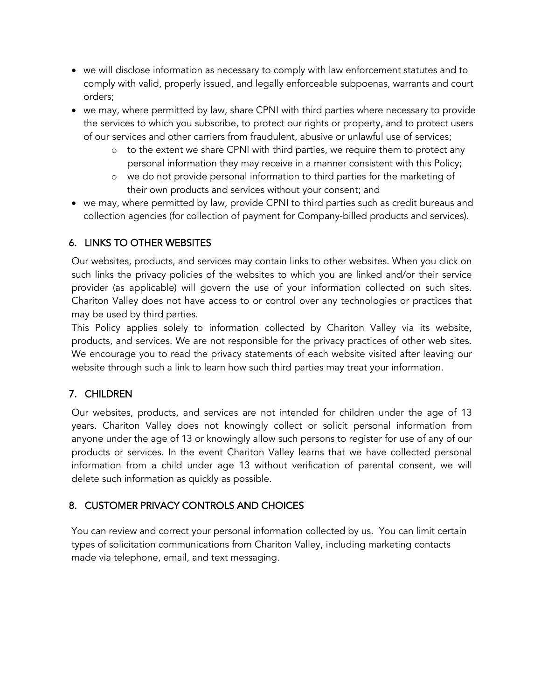- we will disclose information as necessary to comply with law enforcement statutes and to comply with valid, properly issued, and legally enforceable subpoenas, warrants and court orders;
- we may, where permitted by law, share CPNI with third parties where necessary to provide the services to which you subscribe, to protect our rights or property, and to protect users of our services and other carriers from fraudulent, abusive or unlawful use of services;
	- o to the extent we share CPNI with third parties, we require them to protect any personal information they may receive in a manner consistent with this Policy;
	- we do not provide personal information to third parties for the marketing of their own products and services without your consent; and
- we may, where permitted by law, provide CPNI to third parties such as credit bureaus and collection agencies (for collection of payment for Company-billed products and services).

# 6. LINKS TO OTHER WEBSITES

Our websites, products, and services may contain links to other websites. When you click on such links the privacy policies of the websites to which you are linked and/or their service provider (as applicable) will govern the use of your information collected on such sites. Chariton Valley does not have access to or control over any technologies or practices that may be used by third parties.

This Policy applies solely to information collected by Chariton Valley via its website, products, and services. We are not responsible for the privacy practices of other web sites. We encourage you to read the privacy statements of each website visited after leaving our website through such a link to learn how such third parties may treat your information.

# 7. CHILDREN

Our websites, products, and services are not intended for children under the age of 13 years. Chariton Valley does not knowingly collect or solicit personal information from anyone under the age of 13 or knowingly allow such persons to register for use of any of our products or services. In the event Chariton Valley learns that we have collected personal information from a child under age 13 without verification of parental consent, we will delete such information as quickly as possible.

## 8. CUSTOMER PRIVACY CONTROLS AND CHOICES

You can review and correct your personal information collected by us. You can limit certain types of solicitation communications from Chariton Valley, including marketing contacts made via telephone, email, and text messaging.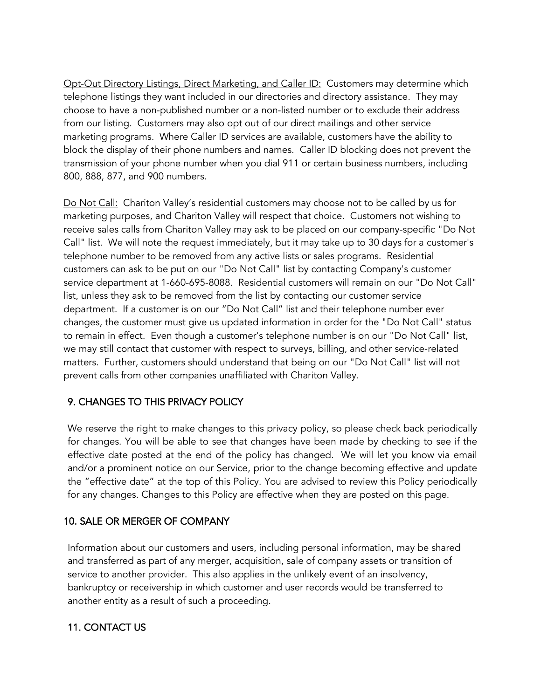Opt-Out Directory Listings, Direct Marketing, and Caller ID: Customers may determine which telephone listings they want included in our directories and directory assistance. They may choose to have a non-published number or a non-listed number or to exclude their address from our listing. Customers may also opt out of our direct mailings and other service marketing programs. Where Caller ID services are available, customers have the ability to block the display of their phone numbers and names. Caller ID blocking does not prevent the transmission of your phone number when you dial 911 or certain business numbers, including 800, 888, 877, and 900 numbers.

Do Not Call: Chariton Valley's residential customers may choose not to be called by us for marketing purposes, and Chariton Valley will respect that choice. Customers not wishing to receive sales calls from Chariton Valley may ask to be placed on our company-specific "Do Not Call" list. We will note the request immediately, but it may take up to 30 days for a customer's telephone number to be removed from any active lists or sales programs. Residential customers can ask to be put on our "Do Not Call" list by contacting Company's customer service department at 1-660-695-8088. Residential customers will remain on our "Do Not Call" list, unless they ask to be removed from the list by contacting our customer service department. If a customer is on our "Do Not Call" list and their telephone number ever changes, the customer must give us updated information in order for the "Do Not Call" status to remain in effect. Even though a customer's telephone number is on our "Do Not Call" list, we may still contact that customer with respect to surveys, billing, and other service-related matters. Further, customers should understand that being on our "Do Not Call" list will not prevent calls from other companies unaffiliated with Chariton Valley.

## 9. CHANGES TO THIS PRIVACY POLICY

We reserve the right to make changes to this privacy policy, so please check back periodically for changes. You will be able to see that changes have been made by checking to see if the effective date posted at the end of the policy has changed. We will let you know via email and/or a prominent notice on our Service, prior to the change becoming effective and update the "effective date" at the top of this Policy. You are advised to review this Policy periodically for any changes. Changes to this Policy are effective when they are posted on this page.

#### 10. SALE OR MERGER OF COMPANY

Information about our customers and users, including personal information, may be shared and transferred as part of any merger, acquisition, sale of company assets or transition of service to another provider. This also applies in the unlikely event of an insolvency, bankruptcy or receivership in which customer and user records would be transferred to another entity as a result of such a proceeding.

#### 11. CONTACT US